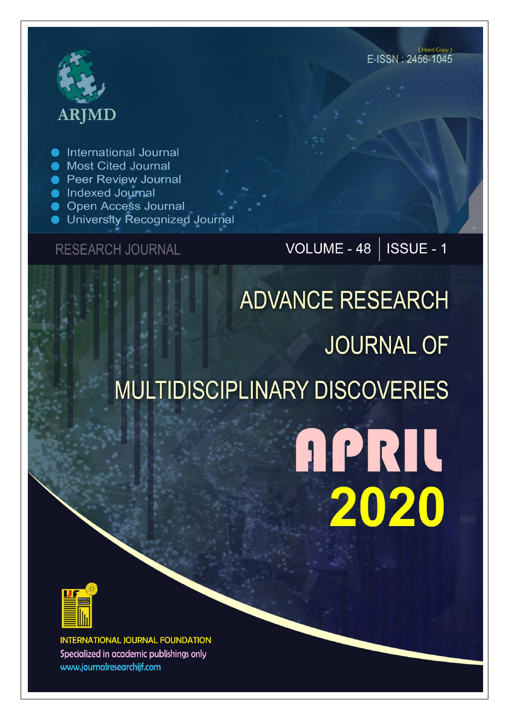# **ARJMD**

International Journal

- **Most Cited Journal**
- **Peer Review Journal**
- lndexed Journal
- **Open Access Journal**
- University Recognized Journal

### **RESEARCH JOURNAL**

## VOLUME - 48 | ISSUE - 1

# **ADVANCE RESEARCH JOURNAL OF MULTIDISCIPLINARY DISCOVERIES**

# **APRIL** 2020



**INTERNATIONAL JOURNAL FOUNDATION** Specialized in academic publishings only www.journalresearchijf.com

(Hard Copy) E-ISSN: 2456-1045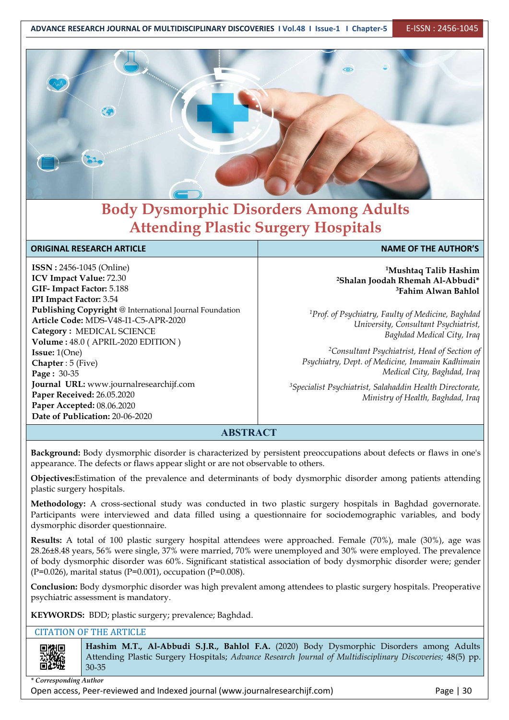**ADVANCE RESEARCH JOURNAL OF MULTIDISCIPLINARY DISCOVERIES I Vol.48 I Issue-1 I Chapter-5** E-ISSN : 2456-1045



## **Body Dysmorphic Disorders Among Adults Attending Plastic Surgery Hospitals**

#### **ORIGINAL RESEARCH ARTICLE NAME OF THE AUTHOR'S**

**ISSN :** 2456-1045 (Online) **ICV Impact Value:** 72.30 **GIF- Impact Factor:** 5.188 **IPI Impact Factor:** 3.54 **Publishing Copyright** @ International Journal Foundation **Article Code:** MDS-V48-I1-C5-APR-2020 **Category :** MEDICAL SCIENCE **Volume :** 48.0 (APRIL-2020 EDITION ) **Issue:** 1(One) **Chapter** : 5 (Five) **Page :** 30-35 **Journal URL:** www.journalresearchijf.com **Paper Received:** 26.05.2020 **Paper Accepted:** 08.06.2020 **Date of Publication:** 20-06-2020

#### **<sup>1</sup>Mushtaq Talib Hashim <sup>2</sup>Shalan Joodah Rhemah Al-Abbudi\* <sup>3</sup>Fahim Alwan Bahlol**

*<sup>1</sup>Prof. of Psychiatry, Faulty of Medicine, Baghdad University, Consultant Psychiatrist, Baghdad Medical City, Iraq*

*<sup>2</sup>Consultant Psychiatrist, Head of Section of Psychiatry, Dept. of Medicine, Imamain Kadhimain Medical City, Baghdad, Iraq*

*<sup>3</sup>Specialist Psychiatrist, Salahaddin Health Directorate, Ministry of Health, Baghdad, Iraq*

### **ABSTRACT**

**Background:** Body dysmorphic disorder is characterized by persistent preoccupations about defects or flaws in one's appearance. The defects or flaws appear slight or are not observable to others.

**Objectives:**Estimation of the prevalence and determinants of body dysmorphic disorder among patients attending plastic surgery hospitals.

**Methodology:** A cross-sectional study was conducted in two plastic surgery hospitals in Baghdad governorate. Participants were interviewed and data filled using a questionnaire for sociodemographic variables, and body dysmorphic disorder questionnaire.

**Results:** A total of 100 plastic surgery hospital attendees were approached. Female (70%), male (30%), age was 28.26±8.48 years, 56% were single, 37% were married, 70% were unemployed and 30% were employed. The prevalence of body dysmorphic disorder was 60%. Significant statistical association of body dysmorphic disorder were; gender (P=0.026), marital status (P=0.001), occupation (P=0.008).

**Conclusion:** Body dysmorphic disorder was high prevalent among attendees to plastic surgery hospitals. Preoperative psychiatric assessment is mandatory.

**KEYWORDS:** BDD; plastic surgery; prevalence; Baghdad.

#### CITATION OF THE ARTICLE



**Hashim M.T., Al-Abbudi S.J.R., Bahlol F.A.** (2020) Body Dysmorphic Disorders among Adults Attending Plastic Surgery Hospitals; *Advance Research Journal of Multidisciplinary Discoveries;* 48(5) pp. 30-35

*\* Corresponding Author*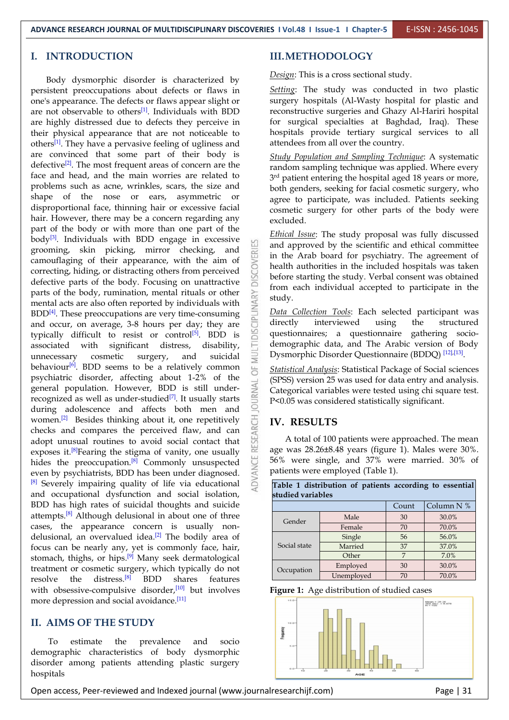#### **I. INTRODUCTION**

Body dysmorphic disorder is characterized by persistent preoccupations about defects or flaws in one's appearance. The defects or flaws appear slight or are not observable to others<sup>[1]</sup>. Individuals with BDD reconstructive surgeries are highly distressed due to defects they perceive in their physical appearance that are not noticeable to others<sup>[1]</sup>. They have a pervasive feeling of ugliness and attendees from all are convinced that some part of their body is defective<sup>[2]</sup>. The most frequent areas of concern are the  $\frac{1}{\text{random sam}}$ face and head, and the main worries are related to problems such as acne, wrinkles, scars, the size and shape of the nose or ears, asymmetric or disproportional face, thinning hair or excessive facial hair. However, there may be a concern regarding any part of the body or with more than one part of the body<sup>[3]</sup>. Individuals with BDD engage in excessive  $\sqrt{2}$ body<sup>es</sup>. Individuals with BDD engage in excessive<br>grooming, skin picking, mirror checking, and camouflaging of their appearance, with the aim of correcting, hiding, or distracting others from perceived defective parts of the body. Focusing on unattractive  $\overline{\overline{a}}$ parts of the body, rumination, mental rituals or other mental acts are also often reported by individuals with BDD<sup>[4]</sup>. These preoccupations are very time-consuming  $\frac{5}{6}$   $\frac{Data Co}{\text{directly}}$ and occur, on average, 3-8 hours per day; they are typically difficult to resist or control<sup>[5]</sup>. BDD is associated with significant distress, disability, unnecessary cosmetic surgery, and suicidal behaviour<sup>[6]</sup>. BDD seems to be a relatively common  $\Box$  Statistical Analysi behaviour<sup>[0]</sup>. BDD seems to be a relatively common psychiatric disorder, affecting about 1-2% of the general population. However, BDD is still under recognized as well as under-studied<sup>[7]</sup>. It usually starts  $\sigma$  =  $\sigma$   $\sigma$   $\sigma$   $\sigma$   $\sigma$ during adolescence and affects both men and women.<sup>[2]</sup> Besides thinking about it, one repetitively  $\overrightarrow{0}$  **IV. RESULT** checks and compares the perceived flaw, and can adopt unusual routines to avoid social contact that exposes it.<sup>[8]</sup>Fearing the stigma of vanity, one usually  $\alpha$  age was 28.26 $\pm$ hides the preoccupation.<sup>[8]</sup> Commonly unsuspected  $\Box$  56% were single even by psychiatrists, BDD has been under diagnosed. [8] Severely impairing quality of life via educational and occupational dysfunction and social isolation, BDD has high rates of suicidal thoughts and suicide attempts.<sup>[8]</sup> Although delusional in about one of three cases, the appearance concern is usually non delusional, an overvalued idea.<sup>[2]</sup> The bodily area of **the same of the same of the same of the same of the same of the same of the same of the same of the same of the same of the same of the same of the same of the same** focus can be nearly any, yet is commonly face, hair, stomach, thighs, or hips.<sup>[9]</sup> Many seek dermatological  $\qquad \qquad \Box$ treatment or cosmetic surgery, which typically do not resolve the distress.<sup>[8]</sup> BDD shares features with obsessive-compulsive disorder,<sup>[10]</sup> but involves Figure 1: more depression and social avoidance.<sup>[11]</sup>

# **II. AIMS OF THE STUDY**

To estimate the prevalence and socio demographic characteristics of body dysmorphic disorder among patients attending plastic surgery hospitals

### **III.METHODOLOGY**

*Design*: This is a cross sectional study.

Setting: The study was conducted in two plastic surgery hospitals (Al-Wasty hospital for plastic and reconstructive surgeries and Ghazy Al-Hariri hospital for surgical specialties at Baghdad, Iraq). These hospitals provide tertiary surgical services to all attendees from all over the country.

*Study Population and Sampling Technique*:A systematic random sampling technique was applied. Where every <sup>3rd</sup> patient entering the hospital aged 18 years or more,  $\vert$ both genders, seeking for facial cosmetic surgery, who agree to participate, was included. Patients seeking cosmetic surgery for other parts of the body were excluded.

*Ethical Issue*: The study proposal was fully discussed and approved by the scientific and ethical committee in the Arab board for psychiatry. The agreement of health authorities in the included hospitals was taken before starting the study. Verbal consent was obtained from each individual accepted to participate in the study.

 $^{[5]}$ . BDD is  $\approx$  questionnaires; a questionnaire gathering socio-*Data Collection Tools*: Each selected participant was interviewed using the structured demographic data, and The Arabic version of Body Dysmorphic Disorder Questionnaire (BDDQ) [12],[13].

> *Statistical Analysis*: Statistical Package of Social sciences (SPSS) version 25 was used for data entry and analysis. Categorical variables were tested using chi square test. P<0.05 was considered statistically significant.

#### **IV. RESULTS**

A total of 100 patients were approached. The mean age was 28.26±8.48 years (figure 1). Males were 30%. 56% were single, and 37% were married. 30% of patients were employed (Table 1).

**Table 1 distribution of patients according to essential**

| studied variables |            |                |            |
|-------------------|------------|----------------|------------|
|                   |            | Count          | Column N % |
| Gender            | Male       | 30             | 30.0%      |
|                   | Female     | 70             | 70.0%      |
|                   | Single     | 56             | 56.0%      |
| Social state      | Married    | 37             | 37.0%      |
|                   | Other      | $\overline{ }$ | 7.0%       |
| Occupation        | Employed   | 30             | 30.0%      |
|                   | Unemployed | 70             | 70.0%      |



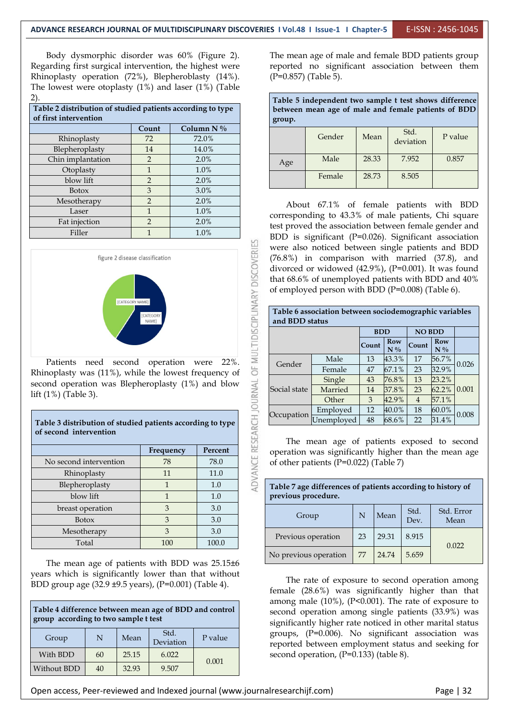Body dysmorphic disorder was 60% (Figure 2). Regarding first surgical intervention, the highest were Rhinoplasty operation (72%), Blepheroblasty (14%). The lowest were otoplasty (1%) and laser (1%) (Table 2).

| Table 2 distribution of studied patients according to type<br>of first intervention |               |              | group. | THESE O MINISPERSIONS VIID DRAILPIC V VOOV DAID IID WAARDEDAIL<br>between mean age of male and female patients of BDD                                   |       |           |         |  |  |  |  |
|-------------------------------------------------------------------------------------|---------------|--------------|--------|---------------------------------------------------------------------------------------------------------------------------------------------------------|-------|-----------|---------|--|--|--|--|
|                                                                                     | Count         | Column $N\%$ |        |                                                                                                                                                         |       | Std.      |         |  |  |  |  |
| Rhinoplasty                                                                         | 72            | 72.0%        |        | Gender                                                                                                                                                  | Mean  | deviation | P value |  |  |  |  |
| Blepheroplasty                                                                      | 14            | 14.0%        |        |                                                                                                                                                         |       |           |         |  |  |  |  |
| Chin implantation                                                                   |               | $2.0\%$      | Age    | Male                                                                                                                                                    | 28.33 | 7.952     | 0.857   |  |  |  |  |
| Otoplasty                                                                           |               | 1.0%         |        |                                                                                                                                                         |       |           |         |  |  |  |  |
| blow lift                                                                           | $\mathcal{D}$ | $2.0\%$      |        | Female                                                                                                                                                  | 28.73 | 8.505     |         |  |  |  |  |
| <b>Botox</b>                                                                        | 3             | 3.0%         |        |                                                                                                                                                         |       |           |         |  |  |  |  |
| Mesotherapy                                                                         |               | $2.0\%$      |        |                                                                                                                                                         |       |           |         |  |  |  |  |
| Laser                                                                               |               | 1.0%         |        | About 67.1% of female patients with BDD<br>corresponding to 43.3% of male patients, Chi square<br>test proved the association between female gender and |       |           |         |  |  |  |  |
| Fat injection                                                                       |               | 2.0%         |        |                                                                                                                                                         |       |           |         |  |  |  |  |
| Filler                                                                              |               | 1.0%         |        | $BDD$ is significant $(P=0.026)$ . Significant association                                                                                              |       |           |         |  |  |  |  |



Rhinoplasty was (11%), while the lowest frequency of second operation was Blepheroplasty (1%) and blow lift (1%) (Table 3).

**Table 3 distribution of studied patients according to type of second intervention**

|                        | 1 I II    |         |          |
|------------------------|-----------|---------|----------|
|                        | Frequency | Percent | operati  |
| No second intervention | 78        | 78.0    | of other |
| Rhinoplasty            | 11        | 11.0    |          |
| Blepheroplasty         |           | 1.0     | Table 7  |
| blow lift              |           | 1.0     | previou  |
| breast operation       | 3         | 3.0     |          |
| <b>Botox</b>           | 3         | 3.0     |          |
| Mesotherapy            | 3         | 3.0     | Previo   |
| Total                  | 100       | 100.0   |          |

The mean age of patients with BDD was 25.15±6 years which is significantly lower than that without BDD group age (32.9 ±9.5 years), (P=0.001) (Table 4).

| Table 4 difference between mean age of BDD and control<br>group according to two sample t test | allong<br>second<br>signific              |                |       |       |                   |  |  |  |  |
|------------------------------------------------------------------------------------------------|-------------------------------------------|----------------|-------|-------|-------------------|--|--|--|--|
| Group                                                                                          | Std.<br>P value<br>N<br>Mean<br>Deviation |                |       |       |                   |  |  |  |  |
| With BDD                                                                                       | 60                                        | 25.15<br>6.022 |       | 0.001 | reporte<br>second |  |  |  |  |
| Without BDD                                                                                    | 40                                        | 32.93          | 9.507 |       |                   |  |  |  |  |

The mean age of male and female BDD patients group reported no significant association between them (P=0.857) (Table 5).

| Table 5 independent two sample t test shows difference<br>between mean age of male and female patients of BDD<br>group. |        |       |                   |         |  |  |
|-------------------------------------------------------------------------------------------------------------------------|--------|-------|-------------------|---------|--|--|
|                                                                                                                         | Gender | Mean  | Std.<br>deviation | P value |  |  |
| Age                                                                                                                     | Male   | 28.33 | 7.952             | 0.857   |  |  |
|                                                                                                                         | Female | 28.73 | 8.505             |         |  |  |

Laser 1  $1.0\%$  corresponding to 43.3% of male patients, Chi square Fat injection 2 2.0% test proved the association between female gender and Filler 1 1.0% BDD is significant (P=0.026). Significant association were also noticed between single patients and BDD (76.8%) in comparison with married (37.8), and divorced or widowed (42.9%), (P=0.001). It was found that 68.6% of unemployed patients with BDD and 40% of employed person with BDD (P=0.008) (Table 6).

| and BDD status              | Table 6 association between sociodemographic variables |       |              |                |                     |       |  |  |  |
|-----------------------------|--------------------------------------------------------|-------|--------------|----------------|---------------------|-------|--|--|--|
| <b>NO BDD</b><br><b>BDD</b> |                                                        |       |              |                |                     |       |  |  |  |
|                             |                                                        | Count | Row<br>$N\%$ | Count          | <b>Row</b><br>$N\%$ |       |  |  |  |
| Gender                      | Male                                                   | 13    | 43.3%        | 17             | 56.7%               | 0.026 |  |  |  |
|                             | Female                                                 | 47    | 67.1%        | 23             | 32.9%               |       |  |  |  |
|                             | Single                                                 | 43    | 76.8%        | 13             | 23.2%               | 0.001 |  |  |  |
| Social state                | Married                                                | 14    | 37.8%        | 23             | 62.2%               |       |  |  |  |
|                             | Other                                                  | 3     | 42.9%        | $\overline{4}$ | 57.1%               |       |  |  |  |
|                             | Emploved                                               | 12    | 40.0%        | 18             | $60.0\%$            | 0.008 |  |  |  |
| Occupation                  | Unemployed                                             | 48    | 68.6%        | 22             | 31.4%               |       |  |  |  |

No second intervention  $\begin{array}{|c|c|c|c|c|c|} \hline \end{array}$  78.0  $\begin{array}{|c|c|c|c|c|c|} \hline \end{array}$  of other patients (P=0.022) (Table 7) The mean age of patients exposed to second operation was significantly higher than the mean age

| Table 7 age differences of patients according to history of<br>previous procedure. |    |       |       |       |  |  |  |  |
|------------------------------------------------------------------------------------|----|-------|-------|-------|--|--|--|--|
| Std. Error<br>Std.<br>Mean<br>N<br>Group<br>Mean<br>Dev.                           |    |       |       |       |  |  |  |  |
| Previous operation                                                                 | 23 | 29.31 | 8.915 | 0.022 |  |  |  |  |
| No previous operation                                                              | 77 | 24.74 | 5.659 |       |  |  |  |  |

**Table 4 difference between mean age of BDD and control** second operation among single patients (33.9%) was Deviation P value reported between employment status and seeking for The rate of exposure to second operation among female (28.6%) was significantly higher than that among male  $(10\%)$ ,  $(P<0.001)$ . The rate of exposure to significantly higher rate noticed in other marital status groups, (P=0.006). No significant association was second operation, (P=0.133) (table 8).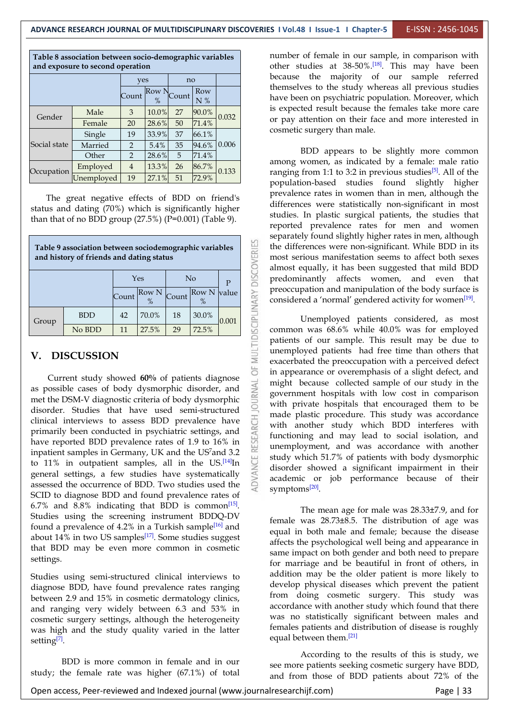**Table 8 association between socio-demographic variables and exposure to second operation**

|              |            | yes            |               | no    |           |       |  |
|--------------|------------|----------------|---------------|-------|-----------|-------|--|
|              |            | Count          | Row N<br>$\%$ | Count | Row<br>N% |       |  |
| Gender       | Male       | 3              | 10.0%         | 27    | 90.0%     | 0.032 |  |
|              | Female     | 20             | $28.6\%$      | 50    | 71.4%     |       |  |
|              | Single     | 19             | 33.9%         | 37    | 66.1%     |       |  |
| Social state | Married    | 2              | 5.4%          | 35    | 94.6%     | 0.006 |  |
|              | Other      | 2              | 28.6%         | 5     | 71.4%     |       |  |
| Occupation   | Employed   | $\overline{4}$ | 13.3%         | 26    | 86.7%     | 0.133 |  |
|              | Unemployed | 19             | 27.1%         | 51    | 72.9%     |       |  |

The great negative effects of BDD on friend's status and dating (70%) which is significantly higher than that of no BDD group  $(27.5%)$   $(P=0.001)$  (Table 9).

| Table 9 association between sociodemographic variables<br>and history of friends and dating status | VERIES     | the diff<br>most se<br>almost            |            |       |               |              |                    |                    |
|----------------------------------------------------------------------------------------------------|------------|------------------------------------------|------------|-------|---------------|--------------|--------------------|--------------------|
|                                                                                                    | ă          | predon                                   |            |       |               |              |                    |                    |
|                                                                                                    |            | Count                                    | Row N<br>% | Count | Row N<br>$\%$ | <b>value</b> |                    | preoccu<br>conside |
| Group                                                                                              | <b>BDD</b> | 42                                       | 70.0%      | 18    | 30.0%         | 0.001        | <b>ISCIPLINARY</b> |                    |
|                                                                                                    | No BDD     | 11                                       | 27.5%      | 29    | 72.5%         |              |                    | commo              |
| <b>DISCUSSION</b><br>V.<br>$\sim$ $\sim$ $\sim$ $\sim$ $\sim$ $\sim$ $\sim$                        | MULTI      | patients<br>unemp.<br>exacerb<br>in appe |            |       |               |              |                    |                    |

Current study showed **60%** of patients diagnose<br>possible cases of body dysmorphic disorder, and<br>the DSM-V diagnostic criteria of body dysmorphic as possible cases of body dysmorphic disorder, and met the DSM-V diagnostic criteria of body dysmorphic disorder. Studies that have used semi-structured clinical interviews to assess BDD prevalence have primarily been conducted in psychiatric settings, and have reported BDD prevalence rates of 1.9 to 16% in inpatient samples in Germany, UK and the US<sup>7</sup> and 3.2 to 11% in outpatient samples, all in the US.<sup>[14]</sup>In general settings, a few studies have systematically assessed the occurrence of BDD. Two studies used the SCID to diagnose BDD and found prevalence rates of 6.7% and 8.8% indicating that BDD is common<sup>[15]</sup>. The n Studies using the screening instrument BDDQ-DV found a prevalence of 4.2% in a Turkish sample<sup>[16]</sup> and about 14% in two US samples<sup>[17]</sup>. Some studies suggest  $\frac{c}{\text{offset}}$ that BDD may be even more common in cosmetic settings.

Studies using semi-structured clinical interviews to diagnose BDD, have found prevalence rates ranging between 2.9 and 15% in cosmetic dermatology clinics, and ranging very widely between 6.3 and 53% in cosmetic surgery settings, although the heterogeneity was high and the study quality varied in the latter setting $[7]$ .

[7].BDD is more common in female and in our study; the female rate was higher (67.1%) of total

 $\begin{bmatrix} \text{Row} \\ \text{N } \% \end{bmatrix}$  have been on psychiatric population. Moreover, which Gender Male  $\begin{array}{|l|c|c|c|c|c|}\n\hline \text{Kamle} & 3 & 10.0\% & 27 & 90.0\%\\
\hline \text{Fermle} & 20 & 28.6\% & 50 & 71.4\%\\
\hline \end{array}$  0.032 or pay attention on their face and more interested in number of female in our sample, in comparison with other studies at  $38-50\%$ .<sup>[18]</sup>. This may have been because the majority of our sample referred themselves to the study whereas all previous studies is expected result because the females take more care cosmetic surgery than male.

Occupation  $\boxed{\text{Employee}\quad 4\quad 13.3\%}\quad 26\quad 86.7\%}{\text{range from 1:1 to 3:2 in previous studies}^{[5]}$ . All of the Unemployed 19 27.1% 51 72.9%  $Y$ es No  $P$   $P$   $\Xi$  predominantly affects women, and even that Count  $\begin{bmatrix} Row N \\ y' \end{bmatrix}$  Count  $\begin{bmatrix} Row N \\ y' \end{bmatrix}$  value  $\begin{bmatrix} Seeocupation and manipulation of the body surface is considered a 'normal' generated activity for women<sup>[19]</sup>.$ BDD appears to be slightly more common among women, as indicated by a female: male ratio prevalence rates in women than in men, although the differences were statistically non-significant in most studies. In plastic surgical patients, the studies that reported prevalence rates for men and women separately found slightly higher rates in men, although the differences were non-significant. While BDD in its most serious manifestation seems to affect both sexes almost equally, it has been suggested that mild BDD preoccupation and manipulation of the body surface is

BDD | 42 | 70.0% | 18 | 30.0%  $\begin{array}{|c|c|c|c|c|c|c|c|c|} \hline \text{18} & 30.08 & 0.001 & \text{m} \\ \hline \end{array}$  Unemployed patients considered, as most  $\begin{array}{|c|c|c|c|}\n 0.001 & \frac{11}{11} & \quad \text{U1}\n \end{array}$ No BDD 11 27.5% 29 72.5% common was 68.6% while 40.0% was for employed  $\frac{7 \text{ and } 3.2}{\text{ and } 3.2}$  study which 51.7% of patients with body dysmorphic  $\frac{[14]}{11}$ In  $\frac{1}{2}$  disorder showed a significant impairment in their patients of our sample. This result may be due to unemployed patients had free time than others that exacerbated the preoccupation with a perceived defect in appearance or overemphasis of a slight defect, and might because collected sample of our study in the government hospitals with low cost in comparison with private hospitals that encouraged them to be made plastic procedure. This study was accordance with another study which BDD interferes with functioning and may lead to social isolation, and unemployment, and was accordance with another academic or job performance because of their symptoms<sup>[20]</sup>.

> [16] and equal in both male and female; because the disease The mean age for male was 28.33±7.9, and for female was 28.73±8.5. The distribution of age was affects the psychological well being and appearance in same impact on both gender and both need to prepare for marriage and be beautiful in front of others, in addition may be the older patient is more likely to develop physical diseases which prevent the patient from doing cosmetic surgery. This study was accordance with another study which found that there was no statistically significant between males and females patients and distribution of disease is roughly equal between them.<sup>[21]</sup>

> > According to the results of this is study, we see more patients seeking cosmetic surgery have BDD, and from those of BDD patients about 72% of the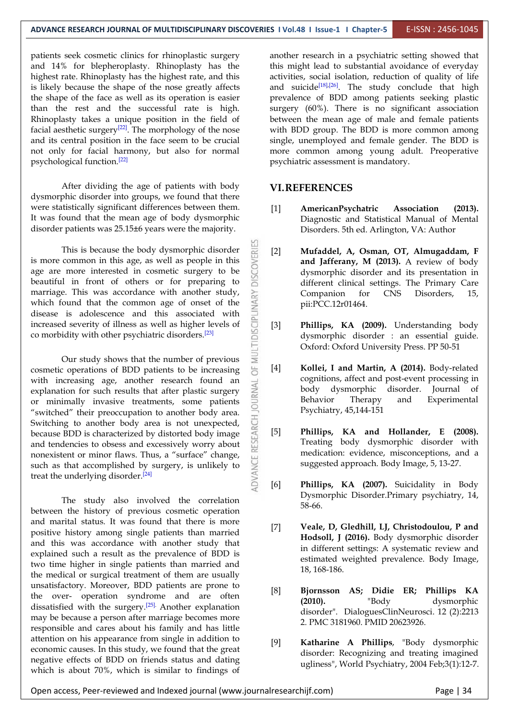patients seek cosmetic clinics for rhinoplastic surgery and 14% for blepheroplasty. Rhinoplasty has the highest rate. Rhinoplasty has the highest rate, and this is likely because the shape of the nose greatly affects the shape of the face as well as its operation is easier than the rest and the successful rate is high. Rhinoplasty takes a unique position in the field of facial aesthetic surgery<sup>[22]</sup>. The morphology of the nose with BDD g and its central position in the face seem to be crucial not only for facial harmony, but also for normal psychological function. [22]

After dividing the age of patients with body dysmorphic disorder into groups, we found that there were statistically significant differences between them. It was found that the mean age of body dysmorphic disorder patients was 25.15±6 years were the majority.

This is because the body dysmorphic disorder<br>common in this age, as well as people in this<br>more interested in cosmetic surgery to be<br>all in front of others or for preparing to is more common in this age, as well as people in this age are more interested in cosmetic surgery to be beautiful in front of others or for preparing to marriage. This was accordance with another study,<br>which found that the common age of onset of the<br>disease is adolescence and this associated with<br>increased severity of illness as well as higher levels of which found that the common age of onset of the disease is adolescence and this associated with increased severity of illness as well as higher levels of [3] co morbidity with other psychiatric disorders. [23]

Dur study shows that the number of previous<br>
contractions of BDD patients to be increasing  $\frac{1}{2}$  [4] cosmetic operations of BDD patients to be increasing with increasing age, another research found an explanation for such results that after plastic surgery  $\geq$  or minimally invasive treatments, some patients explanation for such results that after plastic surgery  $\geq 0$  body discreption or minimally invasive treatments some patients  $\geq 0$  Behavior or minimally invasive treatments, some patients "switched" their preoccupation to another body area.<br>
Switching to another body area is not unexpected,<br>
because BDD is characterized by distorted body image<br>
and tendencies to obsess and excessively worry about<br>
nonexist Switching to another body area is not unexpected, because BDD is characterized by distorted body image  $\begin{bmatrix} 5 \end{bmatrix}$ and tendencies to obsess and excessively worry about nonexistent or minor flaws. Thus, a "surface" change, such as that accomplished by surgery, is unlikely to treat the underlying disorder. [24]

The study also involved the correlation between the history of previous cosmetic operation and marital status. It was found that there is more positive history among single patients than married and this was accordance with another study that explained such a result as the prevalence of BDD is two time higher in single patients than married and the medical or surgical treatment of them are usually unsatisfactory. Moreover, BDD patients are prone to the over- operation syndrome and are often  $[0]$  by bythe  $(2010)$ . dissatisfied with the surgery.<sup>[25]</sup> Another explanation  $\frac{250}{4}$ may be because a person after marriage becomes more responsible and cares about his family and has little attention on his appearance from single in addition to [9] economic causes. In this study, we found that the great negative effects of BDD on friends status and dating which is about 70%, which is similar to findings of

another research in a psychiatric setting showed that this might lead to substantial avoidance of everyday activities, social isolation, reduction of quality of life and suicide<sup>[18],[26]</sup>. The study conclude that high | prevalence of BDD among patients seeking plastic surgery (60%). There is no significant association between the mean age of male and female patients with BDD group. The BDD is more common among single, unemployed and female gender. The BDD is more common among young adult. Preoperative psychiatric assessment is mandatory.

#### **VI.REFERENCES**

- [1] **AmericanPsychatric Association (2013).** Diagnostic and Statistical Manual of Mental Disorders. 5th ed. Arlington, VA: Author
- [2] **Mufaddel, A, Osman, OT, Almugaddam, F and Jafferany, M (2013).** A review of body dysmorphic disorder and its presentation in different clinical settings. The Primary Care Companion for CNS Disorders, 15, pii:PCC.12r01464.
- Phillips, KA (2009). Understanding body dysmorphic disorder : an essential guide. Oxford: Oxford University Press. PP 50-51
- [4] **Kollei, I and Martin, A (2014).** Body-related cognitions, affect and post-event processing in body dysmorphic disorder. Journal of Therapy and Experimental Psychiatry, 45,144-151
- [5] **Phillips, KA and Hollander, E (2008).** Treating body dysmorphic disorder with medication: evidence, misconceptions, and a suggested approach. Body Image, 5, 13-27.
- [6] **Phillips, KA (2007).** Suicidality in Body Dysmorphic Disorder.Primary psychiatry, 14, 58-66.
- [7] **Veale, D, Gledhill, LJ, Christodoulou, P and Hodsoll, J (2016).** Body dysmorphic disorder in different settings: A systematic review and estimated weighted prevalence. Body Image, 18, 168-186.
- [8] **Bjornsson AS; Didie ER; Phillips KA (2010).** "Body dysmorphic disorder". DialoguesClinNeurosci. 12 (2):2213 2. PMC 3181960. PMID 20623926.
- [9] **Katharine A Phillips**, "Body dysmorphic disorder: Recognizing and treating imagined ugliness", World Psychiatry, 2004 Feb;3(1):12-7.